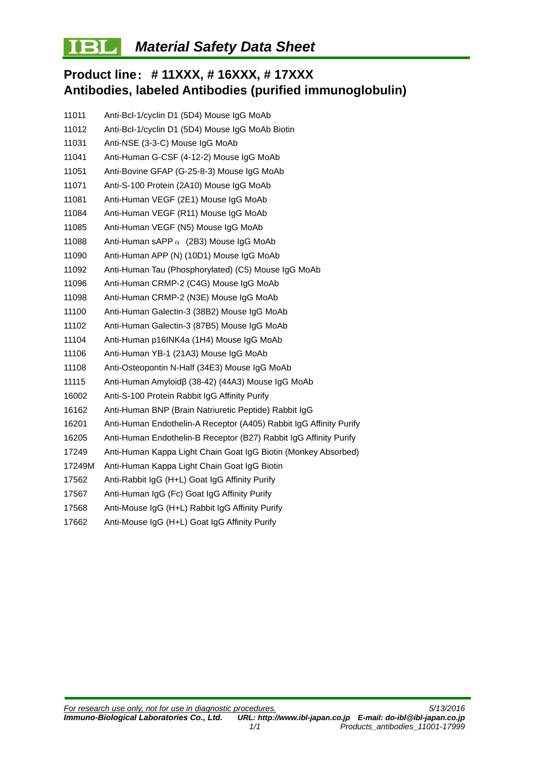## BL **Material Safety Data Sheet**

# **Product line**: **# 11XXX, # 16XXX, # 17XXX Antibodies, labeled Antibodies (purified immunoglobulin)**

| 11011  | Anti-Bcl-1/cyclin D1 (5D4) Mouse IgG MoAb                          |
|--------|--------------------------------------------------------------------|
| 11012  | Anti-Bcl-1/cyclin D1 (5D4) Mouse IgG MoAb Biotin                   |
| 11031  | Anti-NSE (3-3-C) Mouse IgG MoAb                                    |
| 11041  | Anti-Human G-CSF (4-12-2) Mouse IgG MoAb                           |
| 11051  | Anti-Bovine GFAP (G-25-8-3) Mouse IgG MoAb                         |
| 11071  | Anti-S-100 Protein (2A10) Mouse IgG MoAb                           |
| 11081  | Anti-Human VEGF (2E1) Mouse IgG MoAb                               |
| 11084  | Anti-Human VEGF (R11) Mouse IgG MoAb                               |
| 11085  | Anti-Human VEGF (N5) Mouse IgG MoAb                                |
| 11088  | Anti-Human sAPP $\alpha$ (2B3) Mouse IgG MoAb                      |
| 11090  | Anti-Human APP (N) (10D1) Mouse IgG MoAb                           |
| 11092  | Anti-Human Tau (Phosphorylated) (C5) Mouse IgG MoAb                |
| 11096  | Anti-Human CRMP-2 (C4G) Mouse IgG MoAb                             |
| 11098  | Anti-Human CRMP-2 (N3E) Mouse IgG MoAb                             |
| 11100  | Anti-Human Galectin-3 (38B2) Mouse IgG MoAb                        |
| 11102  | Anti-Human Galectin-3 (87B5) Mouse IgG MoAb                        |
| 11104  | Anti-Human p16INK4a (1H4) Mouse IgG MoAb                           |
| 11106  | Anti-Human YB-1 (21A3) Mouse IgG MoAb                              |
| 11108  | Anti-Osteopontin N-Half (34E3) Mouse IgG MoAb                      |
| 11115  | Anti-Human Amyloidβ (38-42) (44A3) Mouse IgG MoAb                  |
| 16002  | Anti-S-100 Protein Rabbit IgG Affinity Purify                      |
| 16162  | Anti-Human BNP (Brain Natriuretic Peptide) Rabbit IgG              |
| 16201  | Anti-Human Endothelin-A Receptor (A405) Rabbit IgG Affinity Purify |
| 16205  | Anti-Human Endothelin-B Receptor (B27) Rabbit IgG Affinity Purify  |
| 17249  | Anti-Human Kappa Light Chain Goat IgG Biotin (Monkey Absorbed)     |
| 17249M | Anti-Human Kappa Light Chain Goat IgG Biotin                       |
| 17562  | Anti-Rabbit IgG (H+L) Goat IgG Affinity Purify                     |
| 17567  | Anti-Human IgG (Fc) Goat IgG Affinity Purify                       |
| 17568  | Anti-Mouse IgG (H+L) Rabbit IgG Affinity Purify                    |
| 17662  | Anti-Mouse IgG (H+L) Goat IgG Affinity Purify                      |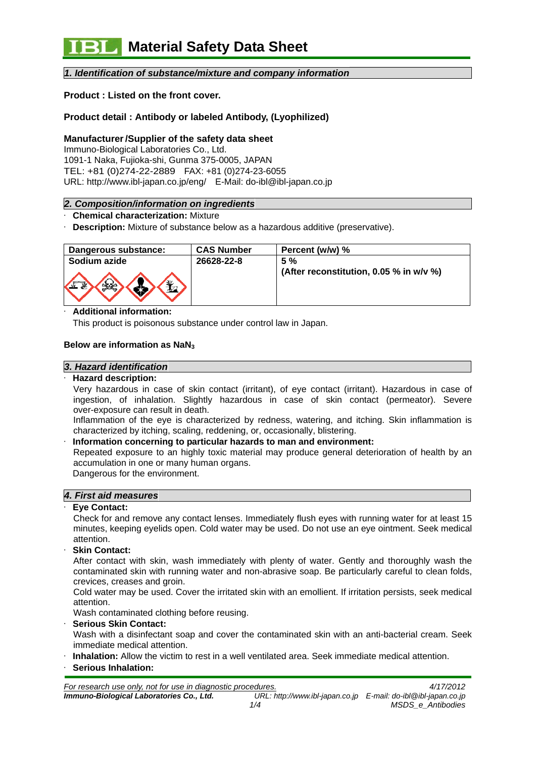# *1. Identification of substance/mixture and company information*

# **Product : Listed on the front cover.**

# **Product detail : Antibody or labeled Antibody, (Lyophilized)**

## **Manufacturer /Supplier of the safety data sheet**

Immuno-Biological Laboratories Co., Ltd. 1091-1 Naka, Fujioka-shi, Gunma 375-0005, JAPAN TEL: +81 (0)274-22-2889 FAX: +81 (0)274-23-6055 URL: http://www.ibl-japan.co.jp/eng/ E-Mail: do-ibl@ibl-japan.co.jp

#### *2. Composition/information on ingredients*

- · **Chemical characterization:** Mixture
- **Description:** Mixture of substance below as a hazardous additive (preservative).

| Dangerous substance: | <b>CAS Number</b> | Percent (w/w) %                         |
|----------------------|-------------------|-----------------------------------------|
| Sodium azide         | 26628-22-8        | 5%                                      |
| $\Omega$             |                   | (After reconstitution, 0.05 % in w/v %) |

#### · **Additional information:**

This product is poisonous substance under control law in Japan.

#### **Below are information as NaN3**

#### *3. Hazard identification*

#### · **Hazard description:**

Very hazardous in case of skin contact (irritant), of eye contact (irritant). Hazardous in case of ingestion, of inhalation. Slightly hazardous in case of skin contact (permeator). Severe over-exposure can result in death.

Inflammation of the eye is characterized by redness, watering, and itching. Skin inflammation is characterized by itching, scaling, reddening, or, occasionally, blistering.

#### · **Information concerning to particular hazards to man and environment:**

Repeated exposure to an highly toxic material may produce general deterioration of health by an accumulation in one or many human organs.

Dangerous for the environment.

## *4. First aid measures*

#### Eve Contact:

Check for and remove any contact lenses. Immediately flush eyes with running water for at least 15 minutes, keeping eyelids open. Cold water may be used. Do not use an eye ointment. Seek medical attention.

· **Skin Contact:** 

After contact with skin, wash immediately with plenty of water. Gently and thoroughly wash the contaminated skin with running water and non-abrasive soap. Be particularly careful to clean folds, crevices, creases and groin.

Cold water may be used. Cover the irritated skin with an emollient. If irritation persists, seek medical attention.

Wash contaminated clothing before reusing.

#### · **Serious Skin Contact:**

Wash with a disinfectant soap and cover the contaminated skin with an anti-bacterial cream. Seek immediate medical attention.

- · **Inhalation:** Allow the victim to rest in a well ventilated area. Seek immediate medical attention.
- · **Serious Inhalation:**

*For research use only, not for use in diagnostic procedures. 4/17/2012 Immuno-Biological Laboratories Co., Ltd. URL: http://www.ibl-japan.co.jp E-mail: do-ibl@ibl-japan.co.jp 1/4 MSDS\_e\_Antibodies*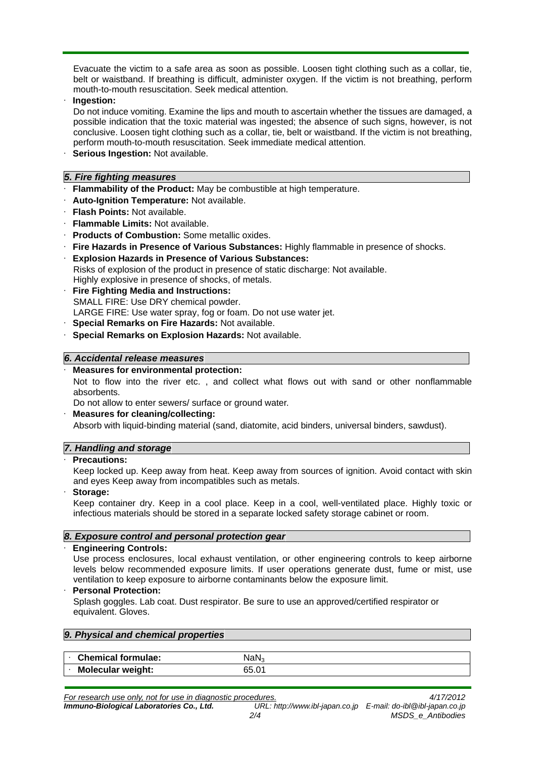Evacuate the victim to a safe area as soon as possible. Loosen tight clothing such as a collar, tie, belt or waistband. If breathing is difficult, administer oxygen. If the victim is not breathing, perform mouth-to-mouth resuscitation. Seek medical attention.

· **Ingestion:** 

Do not induce vomiting. Examine the lips and mouth to ascertain whether the tissues are damaged, a possible indication that the toxic material was ingested; the absence of such signs, however, is not conclusive. Loosen tight clothing such as a collar, tie, belt or waistband. If the victim is not breathing, perform mouth-to-mouth resuscitation. Seek immediate medical attention.

**Serious Ingestion: Not available.** 

# *5. Fire fighting measures*

- · **Flammability of the Product:** May be combustible at high temperature.
- · **Auto-Ignition Temperature:** Not available.
- · **Flash Points:** Not available.
- · **Flammable Limits:** Not available.
- · **Products of Combustion:** Some metallic oxides.
- · **Fire Hazards in Presence of Various Substances:** Highly flammable in presence of shocks.
- · **Explosion Hazards in Presence of Various Substances:**

Risks of explosion of the product in presence of static discharge: Not available. Highly explosive in presence of shocks, of metals.

- · **Fire Fighting Media and Instructions:**  SMALL FIRE: Use DRY chemical powder. LARGE FIRE: Use water spray, fog or foam. Do not use water jet.
- · **Special Remarks on Fire Hazards:** Not available.
- · **Special Remarks on Explosion Hazards:** Not available.

## *6. Accidental release measures*

## · **Measures for environmental protection:**

Not to flow into the river etc. , and collect what flows out with sand or other nonflammable absorbents.

Do not allow to enter sewers/ surface or ground water.

· **Measures for cleaning/collecting:**  Absorb with liquid-binding material (sand, diatomite, acid binders, universal binders, sawdust).

# *7. Handling and storage*

## · **Precautions:**

Keep locked up. Keep away from heat. Keep away from sources of ignition. Avoid contact with skin and eyes Keep away from incompatibles such as metals.

· **Storage:** 

Keep container dry. Keep in a cool place. Keep in a cool, well-ventilated place. Highly toxic or infectious materials should be stored in a separate locked safety storage cabinet or room.

# *8. Exposure control and personal protection gear*

## · **Engineering Controls:**

Use process enclosures, local exhaust ventilation, or other engineering controls to keep airborne levels below recommended exposure limits. If user operations generate dust, fume or mist, use ventilation to keep exposure to airborne contaminants below the exposure limit.

## · **Personal Protection:**

Splash goggles. Lab coat. Dust respirator. Be sure to use an approved/certified respirator or equivalent. Gloves.

| 9. Physical and chemical properties |                  |  |  |  |  |  |
|-------------------------------------|------------------|--|--|--|--|--|
|                                     |                  |  |  |  |  |  |
| <b>Chemical formulae:</b>           | NaN <sub>3</sub> |  |  |  |  |  |
| <b>Molecular weight:</b>            | 65.01            |  |  |  |  |  |

*For research use only, not for use in diagnostic procedures. 4/17/2012*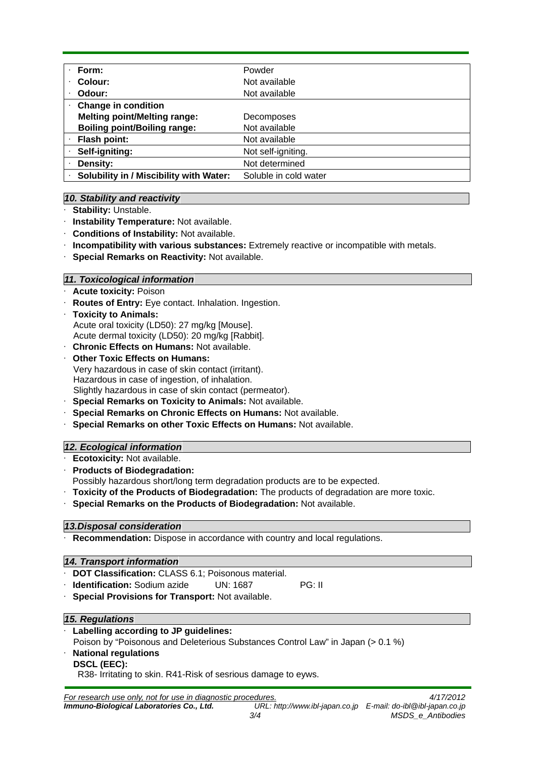| Form:                                   | Powder                |
|-----------------------------------------|-----------------------|
| Colour:                                 | Not available         |
| Odour:                                  | Not available         |
| <b>Change in condition</b>              |                       |
| <b>Melting point/Melting range:</b>     | Decomposes            |
| <b>Boiling point/Boiling range:</b>     | Not available         |
| Flash point:                            | Not available         |
| Self-igniting:                          | Not self-igniting.    |
| Density:                                | Not determined        |
| Solubility in / Miscibility with Water: | Soluble in cold water |

# *10. Stability and reactivity*

- **Stability: Unstable.**
- · **Instability Temperature:** Not available.
- · **Conditions of Instability:** Not available.
- · **Incompatibility with various substances:** Extremely reactive or incompatible with metals.
- · **Special Remarks on Reactivity:** Not available.

# *11. Toxicological information*

- **Acute toxicity: Poison**
- **Routes of Entry:** Eye contact. Inhalation. Ingestion.
- · **Toxicity to Animals:**  Acute oral toxicity (LD50): 27 mg/kg [Mouse]. Acute dermal toxicity (LD50): 20 mg/kg [Rabbit].
- · **Chronic Effects on Humans:** Not available.
- **Other Toxic Effects on Humans:** Very hazardous in case of skin contact (irritant). Hazardous in case of ingestion, of inhalation. Slightly hazardous in case of skin contact (permeator).
- · **Special Remarks on Toxicity to Animals:** Not available.
- · **Special Remarks on Chronic Effects on Humans:** Not available.
- · **Special Remarks on other Toxic Effects on Humans:** Not available.

# *12. Ecological information*

- · **Ecotoxicity:** Not available.
- · **Products of Biodegradation:**

Possibly hazardous short/long term degradation products are to be expected.

- · **Toxicity of the Products of Biodegradation:** The products of degradation are more toxic.
- · **Special Remarks on the Products of Biodegradation:** Not available.

## *13.Disposal consideration*

**Recommendation:** Dispose in accordance with country and local regulations.

## *14. Transport information*

- · **DOT Classification:** CLASS 6.1; Poisonous material.
- **Identification:** Sodium azide UN: 1687 PG: II
- **Special Provisions for Transport: Not available.**

## *15. Regulations*

· **Labelling according to JP guidelines:** 

Poison by "Poisonous and Deleterious Substances Control Law" in Japan (> 0.1 %)

- · **National regulations**
	- **DSCL (EEC):**

R38- Irritating to skin. R41-Risk of sesrious damage to eyws.